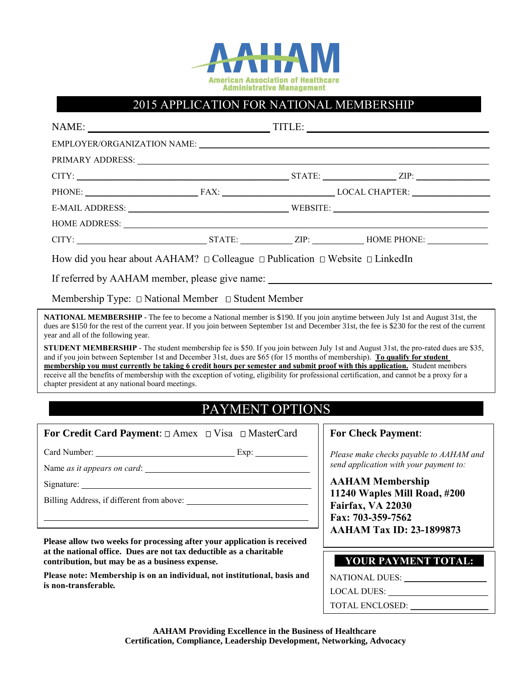

## 2015 APPLICATION FOR NATIONAL MEMBERSHIP

| PRIMARY ADDRESS: University of the Community of the Community of the Community of the Community of the Community of the Community of the Community of the Community of the Community of the Community of the Community of the                                                                                                     |  |  |                            |  |  |
|-----------------------------------------------------------------------------------------------------------------------------------------------------------------------------------------------------------------------------------------------------------------------------------------------------------------------------------|--|--|----------------------------|--|--|
|                                                                                                                                                                                                                                                                                                                                   |  |  |                            |  |  |
|                                                                                                                                                                                                                                                                                                                                   |  |  | PHONE: FAX: LOCAL CHAPTER: |  |  |
|                                                                                                                                                                                                                                                                                                                                   |  |  |                            |  |  |
|                                                                                                                                                                                                                                                                                                                                   |  |  |                            |  |  |
|                                                                                                                                                                                                                                                                                                                                   |  |  |                            |  |  |
| How did you hear about AAHAM? $\Box$ Colleague $\Box$ Publication $\Box$ Website $\Box$ LinkedIn                                                                                                                                                                                                                                  |  |  |                            |  |  |
| If referred by AAHAM member, please give name: _________________________________                                                                                                                                                                                                                                                  |  |  |                            |  |  |
| Membership Type: $\Box$ National Member $\Box$ Student Member                                                                                                                                                                                                                                                                     |  |  |                            |  |  |
| <b>NATIONAL MEMBERSHIP</b> - The fee to become a National member is \$190. If you join anytime between July 1st and August 31st, the<br>dues are \$150 for the rest of the current year. If you join between September 1st and December 31st, the fee is \$230 for the rest of the current<br>year and all of the following year. |  |  |                            |  |  |
| <b>STHIDENT MEMRERSHIP</b> - The student membership fee is \$50. If you join between July 1st and August 31st the pro-rated dues are \$35.                                                                                                                                                                                        |  |  |                            |  |  |

**STUDENT MEMBERSHIP** - The student membership fee is \$50. If you join between July 1st and August 31st, the pro-rated dues are and if you join between September 1st and December 31st, dues are \$65 (for 15 months of membership). **To qualify for student membership you must currently be taking 6 credit hours per semester and submit proof with this application.** Student members receive all the benefits of membership with the exception of voting, eligibility for professional certification, and cannot be a proxy for a chapter president at any national board meetings.

## PAYMENT OPTIONS

## **For Credit Card Payment:**  $\Box$  Amex  $\Box$  Visa  $\Box$  MasterCard

Card Number: \_\_\_\_\_\_\_\_\_\_\_\_\_\_\_\_\_\_\_\_\_\_\_\_\_\_\_\_\_\_\_\_ Exp: \_\_\_\_\_\_\_\_\_\_\_\_

Name *as it appears on card*: \_\_\_\_\_\_\_\_\_\_\_\_\_\_\_\_\_\_\_\_\_\_\_\_\_\_\_\_\_\_\_\_\_\_\_\_\_\_

 $Signature:$ 

Billing Address, if different from above:

**Please allow two weeks for processing after your application is received at the national office. Dues are not tax deductible as a charitable contribution, but may be as a business expense.** 

 $\mathcal{L}_\text{max} = \mathcal{L}_\text{max} = \mathcal{L}_\text{max} = \mathcal{L}_\text{max} = \mathcal{L}_\text{max} = \mathcal{L}_\text{max} = \mathcal{L}_\text{max} = \mathcal{L}_\text{max} = \mathcal{L}_\text{max} = \mathcal{L}_\text{max} = \mathcal{L}_\text{max} = \mathcal{L}_\text{max} = \mathcal{L}_\text{max} = \mathcal{L}_\text{max} = \mathcal{L}_\text{max} = \mathcal{L}_\text{max} = \mathcal{L}_\text{max} = \mathcal{L}_\text{max} = \mathcal{$ 

**Please note: Membership is on an individual, not institutional, basis and is non-transferable***.*

## **For Check Payment**:

*Please make checks payable to AAHAM and send application with your payment to:*

**AAHAM Membership 11240 Waples Mill Road, #200 Fairfax, VA 22030 Fax: 703-359-7562 AAHAM Tax ID: 23-1899873**

| <b>YOUR PAYMENT TOTAL:</b> |  |
|----------------------------|--|
|                            |  |

NATIONAL DUES: \_\_\_\_\_\_\_\_\_\_\_\_\_\_\_\_\_\_\_

LOCAL DUES: \_\_\_\_\_\_\_\_\_\_\_\_\_\_\_\_\_\_\_\_\_\_\_

TOTAL ENCLOSED: \_\_\_\_\_\_\_\_\_\_\_\_\_\_\_\_\_\_

**AAHAM Providing Excellence in the Business of Healthcare Certification, Compliance, Leadership Development, Networking, Advocacy**